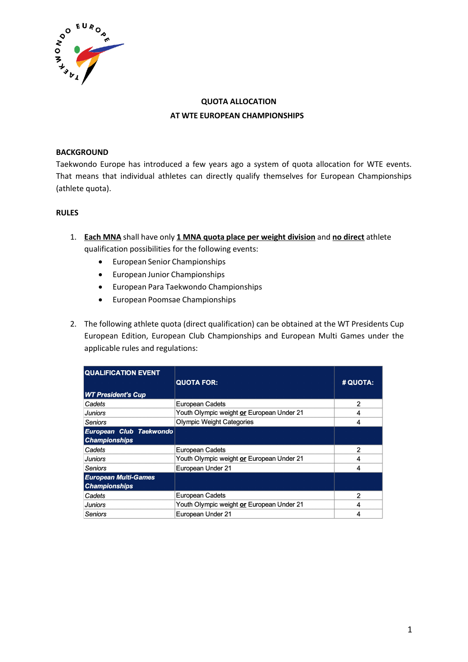

# **QUOTA ALLOCATION AT WTE EUROPEAN CHAMPIONSHIPS**

### **BACKGROUND**

Taekwondo Europe has introduced a few years ago a system of quota allocation for WTE events. That means that individual athletes can directly qualify themselves for European Championships (athlete quota).

#### **RULES**

- 1. **Each MNA** shall have only **1 MNA quota place per weight division** and **no direct** athlete qualification possibilities for the following events:
	- European Senior Championships
	- European Junior Championships
	- European Para Taekwondo Championships
	- European Poomsae Championships
- 2. The following athlete quota (direct qualification) can be obtained at the WT Presidents Cup European Edition, European Club Championships and European Multi Games under the applicable rules and regulations:

| <b>QUALIFICATION EVENT</b>                          | <b>QUOTA FOR:</b>                         | # QUOTA:       |
|-----------------------------------------------------|-------------------------------------------|----------------|
| <b>WT President's Cup</b>                           |                                           |                |
| Cadets                                              | <b>European Cadets</b>                    | $\overline{2}$ |
| <b>Juniors</b>                                      | Youth Olympic weight or European Under 21 | 4              |
| Seniors                                             | <b>Olympic Weight Categories</b>          | 4              |
| European Club Taekwondo<br><b>Championships</b>     |                                           |                |
| Cadets                                              | <b>European Cadets</b>                    | $\mathcal{P}$  |
| <b>Juniors</b>                                      | Youth Olympic weight or European Under 21 | 4              |
| Seniors                                             | European Under 21                         | 4              |
| <b>European Multi-Games</b><br><b>Championships</b> |                                           |                |
| Cadets                                              | <b>European Cadets</b>                    | $\overline{2}$ |
| <b>Juniors</b>                                      | Youth Olympic weight or European Under 21 | 4              |
| Seniors                                             | European Under 21                         | 4              |